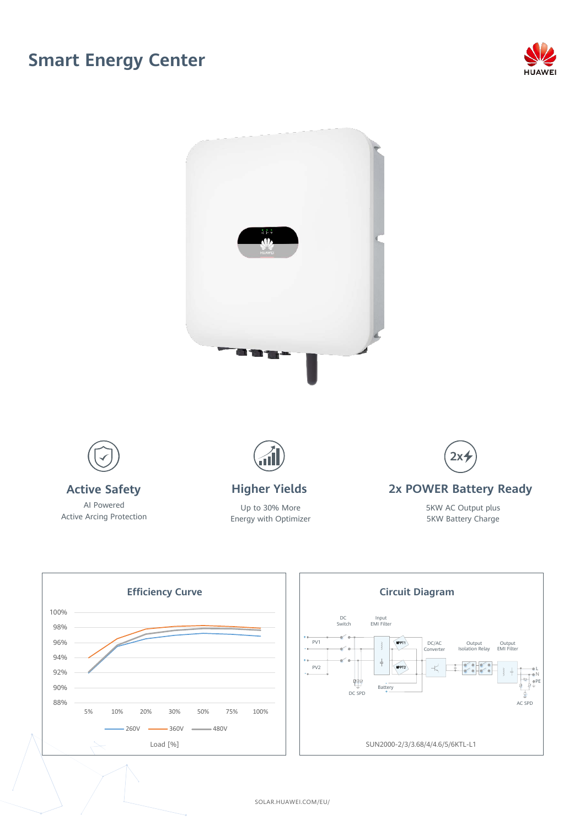## **Smart Energy Center**